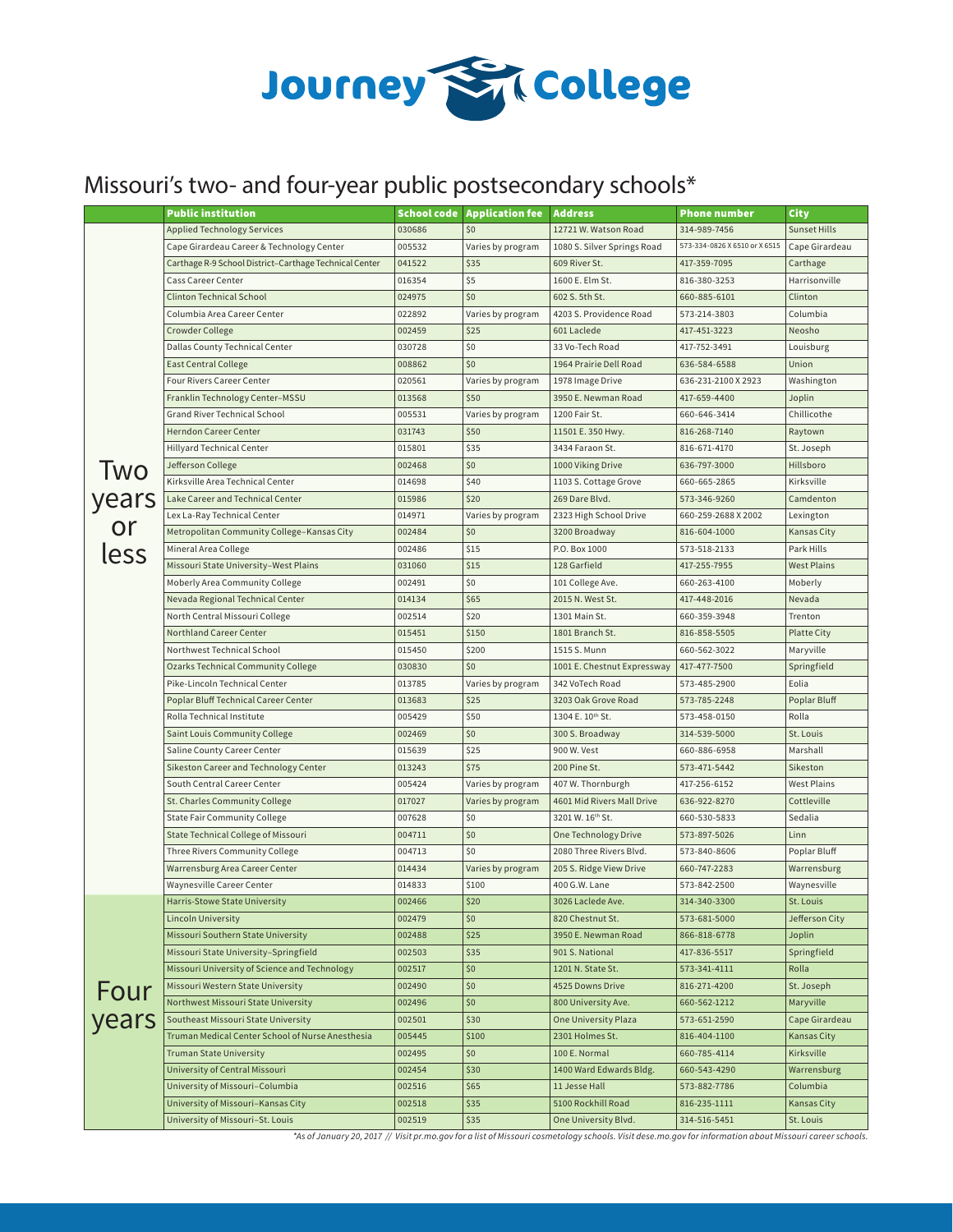

## Missouri's two- and four-year public postsecondary schools\*

|               | <b>Public institution</b>                                                |                  | <b>School code Application fee</b> | <b>Address</b>                              | <b>Phone number</b>           | City                      |
|---------------|--------------------------------------------------------------------------|------------------|------------------------------------|---------------------------------------------|-------------------------------|---------------------------|
|               | <b>Applied Technology Services</b>                                       | 030686           | \$0                                | 12721 W. Watson Road                        | 314-989-7456                  | Sunset Hills              |
|               | Cape Girardeau Career & Technology Center                                | 005532           | Varies by program                  | 1080 S. Silver Springs Road                 | 573-334-0826 X 6510 or X 6515 | Cape Girardeau            |
|               | Carthage R-9 School District-Carthage Technical Center                   | 041522           | \$35                               | 609 River St.                               | 417-359-7095                  | Carthage                  |
|               | Cass Career Center                                                       | 016354           | \$5                                | 1600 E. Elm St.                             | 816-380-3253                  | Harrisonville             |
|               | <b>Clinton Technical School</b>                                          | 024975           | \$0                                | 602 S. 5th St.                              | 660-885-6101                  | Clinton                   |
|               | Columbia Area Career Center                                              | 022892           | Varies by program                  | 4203 S. Providence Road                     | 573-214-3803                  | Columbia                  |
|               | Crowder College                                                          | 002459           | \$25                               | 601 Laclede                                 | 417-451-3223                  | Neosho                    |
|               | Dallas County Technical Center                                           | 030728           | \$0                                | 33 Vo-Tech Road                             | 417-752-3491                  | Louisburg                 |
|               | <b>East Central College</b>                                              | 008862           | \$0                                | 1964 Prairie Dell Road                      | 636-584-6588                  | Union                     |
|               | <b>Four Rivers Career Center</b>                                         | 020561           | Varies by program                  | 1978 Image Drive                            | 636-231-2100 X 2923           | Washington                |
|               | Franklin Technology Center-MSSU                                          | 013568           | \$50                               | 3950 E. Newman Road                         | 417-659-4400                  | Joplin                    |
|               | Grand River Technical School                                             | 005531           | Varies by program                  | 1200 Fair St.                               | 660-646-3414                  | Chillicothe               |
|               | <b>Herndon Career Center</b>                                             | 031743           | \$50                               | 11501 E. 350 Hwy.                           | 816-268-7140                  | Raytown                   |
|               | Hillyard Technical Center                                                | 015801           | \$35                               | 3434 Faraon St.                             | 816-671-4170                  | St. Joseph                |
| <b>Two</b>    | Jefferson College                                                        | 002468           | \$0                                | 1000 Viking Drive                           | 636-797-3000                  | Hillsboro                 |
|               | Kirksville Area Technical Center                                         | 014698           | \$40                               | 1103 S. Cottage Grove                       | 660-665-2865                  | Kirksville                |
| years         | Lake Career and Technical Center                                         | 015986           | \$20                               | 269 Dare Blvd.                              | 573-346-9260                  | Camdenton                 |
|               | Lex La-Ray Technical Center                                              | 014971           | Varies by program                  | 2323 High School Drive                      | 660-259-2688 X 2002           | Lexington                 |
| or            | Metropolitan Community College-Kansas City                               | 002484           | \$0                                | 3200 Broadway                               | 816-604-1000                  | Kansas City               |
| less          | Mineral Area College                                                     | 002486           | \$15                               | P.O. Box 1000                               | 573-518-2133                  | Park Hills                |
|               | Missouri State University-West Plains                                    | 031060           | \$15                               | 128 Garfield                                | 417-255-7955                  | West Plains               |
|               | Moberly Area Community College                                           | 002491           | \$0                                | 101 College Ave.                            | 660-263-4100                  | Moberly                   |
|               | Nevada Regional Technical Center                                         | 014134           | \$65                               | 2015 N. West St.                            | 417-448-2016                  | Nevada                    |
|               | North Central Missouri College                                           | 002514           | \$20                               | 1301 Main St.                               | 660-359-3948                  | Trenton                   |
|               | Northland Career Center                                                  | 015451           | \$150                              | 1801 Branch St.                             | 816-858-5505                  | <b>Platte City</b>        |
|               | Northwest Technical School                                               | 015450           | \$200                              | 1515 S. Munn                                | 660-562-3022                  | Maryville                 |
|               | Ozarks Technical Community College                                       | 030830           | \$0                                | 1001 E. Chestnut Expressway                 | 417-477-7500                  | Springfield               |
|               | Pike-Lincoln Technical Center                                            | 013785           | Varies by program                  | 342 VoTech Road                             | 573-485-2900                  | Eolia                     |
|               | Poplar Bluff Technical Career Center                                     | 013683           | \$25                               | 3203 Oak Grove Road                         | 573-785-2248                  | Poplar Bluff              |
|               | Rolla Technical Institute                                                | 005429           | \$50                               | 1304 E. 10th St.                            | 573-458-0150                  | Rolla                     |
|               | Saint Louis Community College                                            | 002469           | \$0                                | 300 S. Broadway                             | 314-539-5000                  | St. Louis                 |
|               | Saline County Career Center                                              | 015639           | \$25                               | 900 W. Vest                                 | 660-886-6958                  | Marshall                  |
|               | Sikeston Career and Technology Center                                    | 013243           | \$75                               | 200 Pine St.                                | 573-471-5442                  | Sikeston                  |
|               | South Central Career Center                                              | 005424           | Varies by program                  | 407 W. Thornburgh                           | 417-256-6152                  | West Plains               |
|               | St. Charles Community College                                            | 017027           | Varies by program                  | 4601 Mid Rivers Mall Drive                  | 636-922-8270                  | Cottleville               |
|               | <b>State Fair Community College</b>                                      | 007628           | \$0                                | 3201 W. 16th St.                            | 660-530-5833                  | Sedalia                   |
|               | State Technical College of Missouri                                      | 004711           | \$0                                | One Technology Drive                        | 573-897-5026                  | Linn                      |
|               | Three Rivers Community College                                           | 004713           | \$0                                | 2080 Three Rivers Blvd.                     | 573-840-8606                  | Poplar Bluff              |
|               | Warrensburg Area Career Center                                           | 014434           | Varies by program                  | 205 S. Ridge View Drive                     | 660-747-2283                  | Warrensburg               |
|               | Waynesville Career Center                                                | 014833           | \$100                              | 400 G.W. Lane                               | 573-842-2500                  | Waynesville               |
|               | Harris-Stowe State University                                            | 002466           | \$20                               | 3026 Laclede Ave.                           | 314-340-3300                  | St. Louis                 |
|               | <b>Lincoln University</b><br>Missouri Southern State University          | 002479           | \$0                                | 820 Chestnut St.                            | 573-681-5000                  | Jefferson City            |
|               |                                                                          | 002488           | \$25                               | 3950 E. Newman Road                         | 866-818-6778                  | Joplin                    |
|               | Missouri State University-Springfield                                    | 002503           | \$35                               | 901 S. National                             | 417-836-5517                  | Springfield               |
|               | Missouri University of Science and Technology                            | 002517           | \$0                                | 1201 N. State St.                           | 573-341-4111                  | Rolla                     |
| Four<br>years | Missouri Western State University<br>Northwest Missouri State University | 002490           | \$0<br>\$0                         | 4525 Downs Drive                            | 816-271-4200                  | St. Joseph                |
|               | Southeast Missouri State University                                      | 002496           | \$30                               | 800 University Ave.<br>One University Plaza | 660-562-1212                  | Maryville                 |
|               | Truman Medical Center School of Nurse Anesthesia                         | 002501           |                                    |                                             | 573-651-2590                  | Cape Girardeau            |
|               | <b>Truman State University</b>                                           | 005445<br>002495 | \$100<br>\$0                       | 2301 Holmes St.<br>100 E. Normal            | 816-404-1100<br>660-785-4114  | Kansas City<br>Kirksville |
|               | University of Central Missouri                                           | 002454           | \$30                               | 1400 Ward Edwards Bldg.                     | 660-543-4290                  | Warrensburg               |
|               | University of Missouri-Columbia                                          | 002516           | \$65                               | 11 Jesse Hall                               | 573-882-7786                  | Columbia                  |
|               | University of Missouri-Kansas City                                       | 002518           | \$35                               | 5100 Rockhill Road                          | 816-235-1111                  | Kansas City               |
|               | University of Missouri-St. Louis                                         | 002519           | \$35                               | One University Blvd.                        | 314-516-5451                  | St. Louis                 |
|               |                                                                          |                  |                                    |                                             |                               |                           |

*\*As of January 20, 2017 // Visit pr.mo.gov for a list of Missouri cosmetology schools. Visit dese.mo.gov for information about Missouri career schools.*